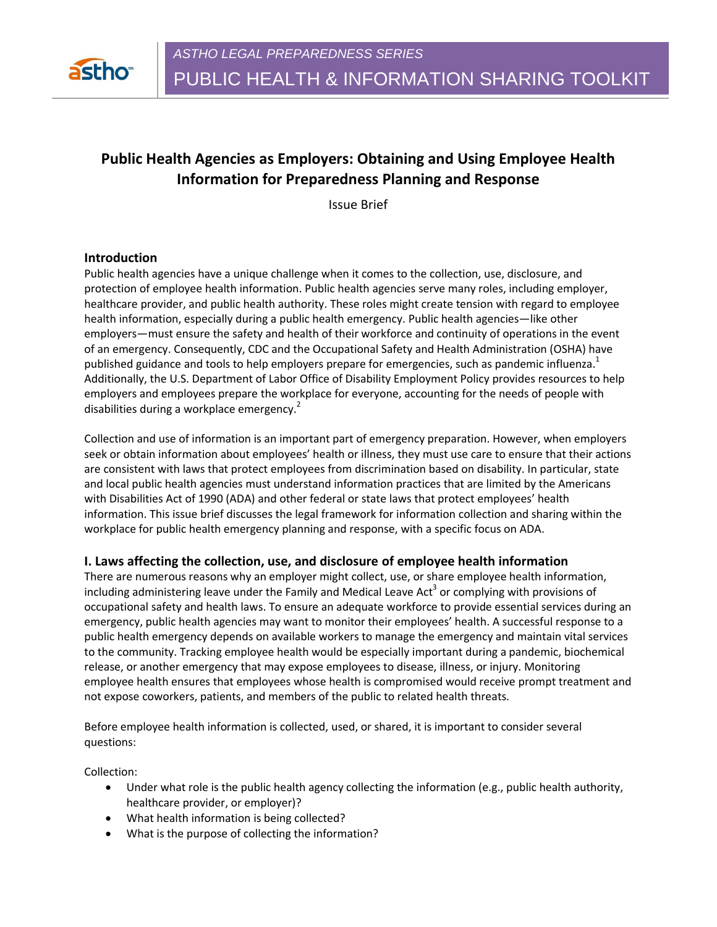

# **Public Health Agencies as Employers: Obtaining and Using Employee Health Information for Preparedness Planning and Response**

Issue Brief

# **Introduction**

Public health agencies have a unique challenge when it comes to the collection, use, disclosure, and protection of employee health information. Public health agencies serve many roles, including employer, healthcare provider, and public health authority. These roles might create tension with regard to employee health information, especially during a public health emergency. Public health agencies—like other employers—must ensure the safety and health of their workforce and continuity of operations in the event of an emergency. Consequently, CDC and the Occupational Safety and Health Administration (OSHA) have published guidance and tools to help employers prepare for emergencies, such as pandemic influenza.<sup>1</sup> Additionally, the U.S. Department of Labor Office of Disability Employment Policy provides resources to help employers and employees prepare the workplace for everyone, accounting for the needs of people with disabilities during a workplace emergency.<sup>2</sup>

Collection and use of information is an important part of emergency preparation. However, when employers seek or obtain information about employees' health or illness, they must use care to ensure that their actions are consistent with laws that protect employees from discrimination based on disability. In particular, state and local public health agencies must understand information practices that are limited by the Americans with Disabilities Act of 1990 (ADA) and other federal or state laws that protect employees' health information. This issue brief discusses the legal framework for information collection and sharing within the workplace for public health emergency planning and response, with a specific focus on ADA.

#### **I. Laws affecting the collection, use, and disclosure of employee health information**

There are numerous reasons why an employer might collect, use, or share employee health information, including administering leave under the Family and Medical Leave Act<sup>3</sup> or complying with provisions of occupational safety and health laws. To ensure an adequate workforce to provide essential services during an emergency, public health agencies may want to monitor their employees' health. A successful response to a public health emergency depends on available workers to manage the emergency and maintain vital services to the community. Tracking employee health would be especially important during a pandemic, biochemical release, or another emergency that may expose employees to disease, illness, or injury. Monitoring employee health ensures that employees whose health is compromised would receive prompt treatment and not expose coworkers, patients, and members of the public to related health threats.

Before employee health information is collected, used, or shared, it is important to consider several questions:

Collection:

- Under what role is the public health agency collecting the information (e.g., public health authority, healthcare provider, or employer)?
- What health information is being collected?
- What is the purpose of collecting the information?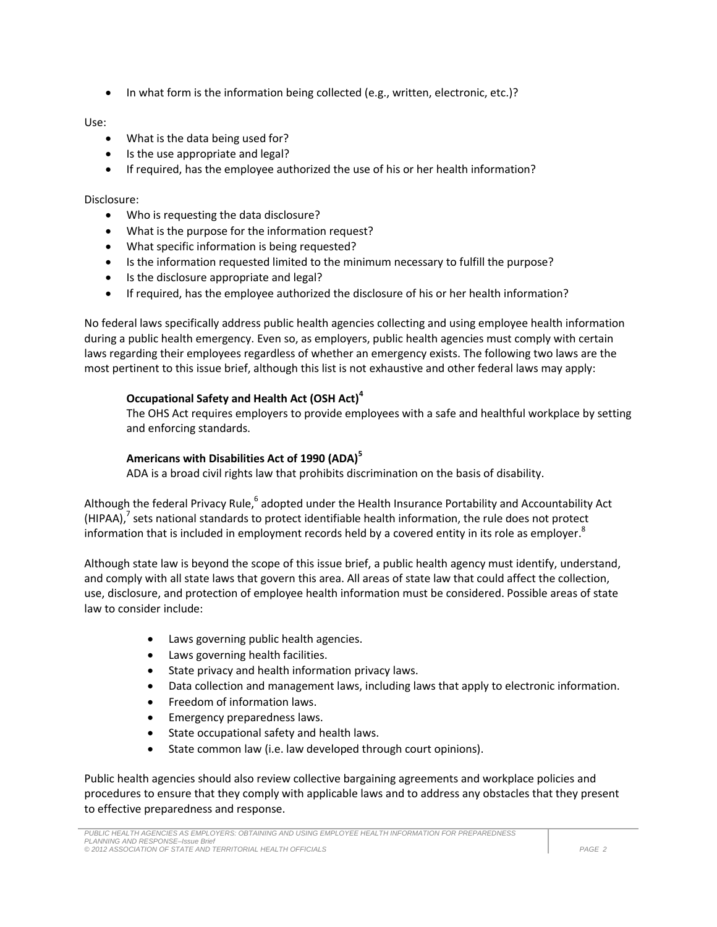In what form is the information being collected (e.g., written, electronic, etc.)?

# Use:

- What is the data being used for?
- Is the use appropriate and legal?
- If required, has the employee authorized the use of his or her health information?

#### Disclosure:

- Who is requesting the data disclosure?
- What is the purpose for the information request?
- What specific information is being requested?
- Is the information requested limited to the minimum necessary to fulfill the purpose?
- Is the disclosure appropriate and legal?
- If required, has the employee authorized the disclosure of his or her health information?

No federal laws specifically address public health agencies collecting and using employee health information during a public health emergency. Even so, as employers, public health agencies must comply with certain laws regarding their employees regardless of whether an emergency exists. The following two laws are the most pertinent to this issue brief, although this list is not exhaustive and other federal laws may apply:

# **Occupational Safety and Health Act (OSH Act)<sup>4</sup>**

The OHS Act requires employers to provide employees with a safe and healthful workplace by setting and enforcing standards.

# **Americans with Disabilities Act of 1990 (ADA)<sup>5</sup>**

ADA is a broad civil rights law that prohibits discrimination on the basis of disability.

Although the federal Privacy Rule,<sup>6</sup> adopted under the Health Insurance Portability and Accountability Act (HIPAA),<sup>7</sup> sets national standards to protect identifiable health information, the rule does not protect information that is included in employment records held by a covered entity in its role as employer. $^8$ 

Although state law is beyond the scope of this issue brief, a public health agency must identify, understand, and comply with all state laws that govern this area. All areas of state law that could affect the collection, use, disclosure, and protection of employee health information must be considered. Possible areas of state law to consider include:

- Laws governing public health agencies.
- Laws governing health facilities.
- State privacy and health information privacy laws.
- Data collection and management laws, including laws that apply to electronic information.
- Freedom of information laws.
- Emergency preparedness laws.
- State occupational safety and health laws.
- State common law (i.e. law developed through court opinions).

Public health agencies should also review collective bargaining agreements and workplace policies and procedures to ensure that they comply with applicable laws and to address any obstacles that they present to effective preparedness and response.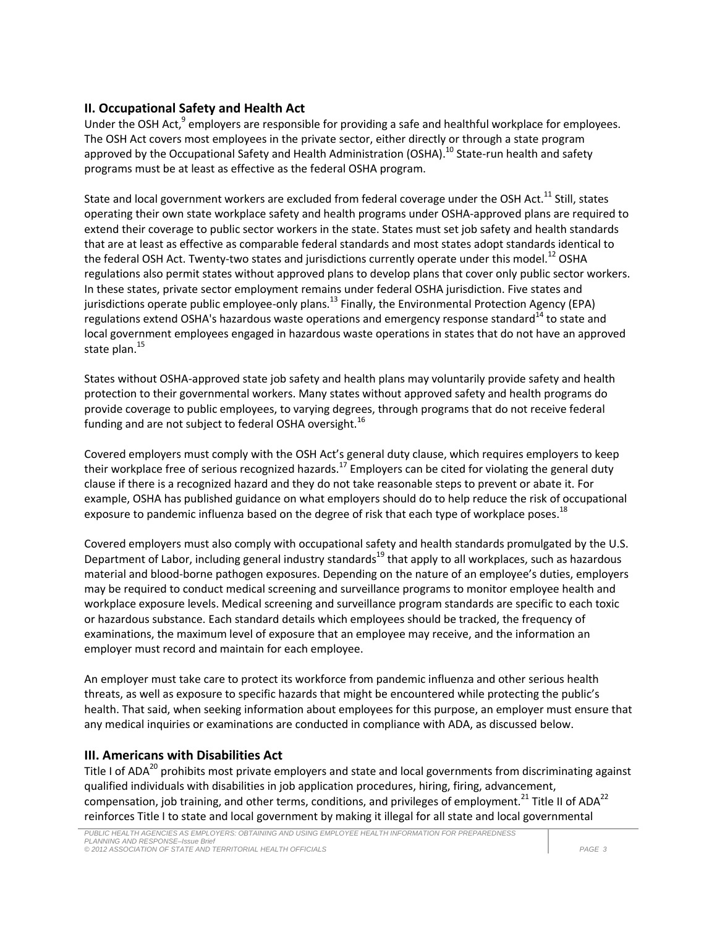# **II. Occupational Safety and Health Act**

Under the OSH Act,<sup>9</sup> employers are responsible for providing a safe and healthful workplace for employees. The OSH Act covers most employees in the private sector, either directly or through a state program approved by the Occupational Safety and Health Administration (OSHA).<sup>10</sup> State-run health and safety programs must be at least as effective as the federal OSHA program.

State and local government workers are excluded from federal coverage under the OSH Act.<sup>11</sup> Still, states operating their own state workplace safety and health programs under OSHA-approved plans are required to extend their coverage to public sector workers in the state. States must set job safety and health standards that are at least as effective as comparable federal standards and most states adopt standards identical to the federal OSH Act. Twenty-two states and jurisdictions currently operate under this model.<sup>12</sup> OSHA regulations also permit states without approved plans to develop plans that cover only public sector workers. In these states, private sector employment remains under federal OSHA jurisdiction. Five states and jurisdictions operate public employee-only plans.<sup>13</sup> Finally, the Environmental Protection Agency (EPA) regulations extend OSHA's hazardous waste operations and emergency response standard<sup>14</sup> to state and local government employees engaged in hazardous waste operations in states that do not have an approved state plan.<sup>15</sup>

States without OSHA-approved state job safety and health plans may voluntarily provide safety and health protection to their governmental workers. Many states without approved safety and health programs do provide coverage to public employees, to varying degrees, through programs that do not receive federal funding and are not subject to federal OSHA oversight.<sup>16</sup>

Covered employers must comply with the OSH Act's general duty clause, which requires employers to keep their workplace free of serious recognized hazards.<sup>17</sup> Employers can be cited for violating the general duty clause if there is a recognized hazard and they do not take reasonable steps to prevent or abate it. For example, OSHA has published guidance on what employers should do to help reduce the risk of occupational exposure to pandemic influenza based on the degree of risk that each type of workplace poses.<sup>18</sup>

Covered employers must also comply with occupational safety and health standards promulgated by the U.S. Department of Labor, including general industry standards<sup>19</sup> that apply to all workplaces, such as hazardous material and blood-borne pathogen exposures. Depending on the nature of an employee's duties, employers may be required to conduct medical screening and surveillance programs to monitor employee health and workplace exposure levels. Medical screening and surveillance program standards are specific to each toxic or hazardous substance. Each standard details which employees should be tracked, the frequency of examinations, the maximum level of exposure that an employee may receive, and the information an employer must record and maintain for each employee.

An employer must take care to protect its workforce from pandemic influenza and other serious health threats, as well as exposure to specific hazards that might be encountered while protecting the public's health. That said, when seeking information about employees for this purpose, an employer must ensure that any medical inquiries or examinations are conducted in compliance with ADA, as discussed below.

# **III. Americans with Disabilities Act**

Title I of ADA<sup>20</sup> prohibits most private employers and state and local governments from discriminating against qualified individuals with disabilities in job application procedures, hiring, firing, advancement, compensation, job training, and other terms, conditions, and privileges of employment.<sup>21</sup> Title II of ADA<sup>22</sup> reinforces Title I to state and local government by making it illegal for all state and local governmental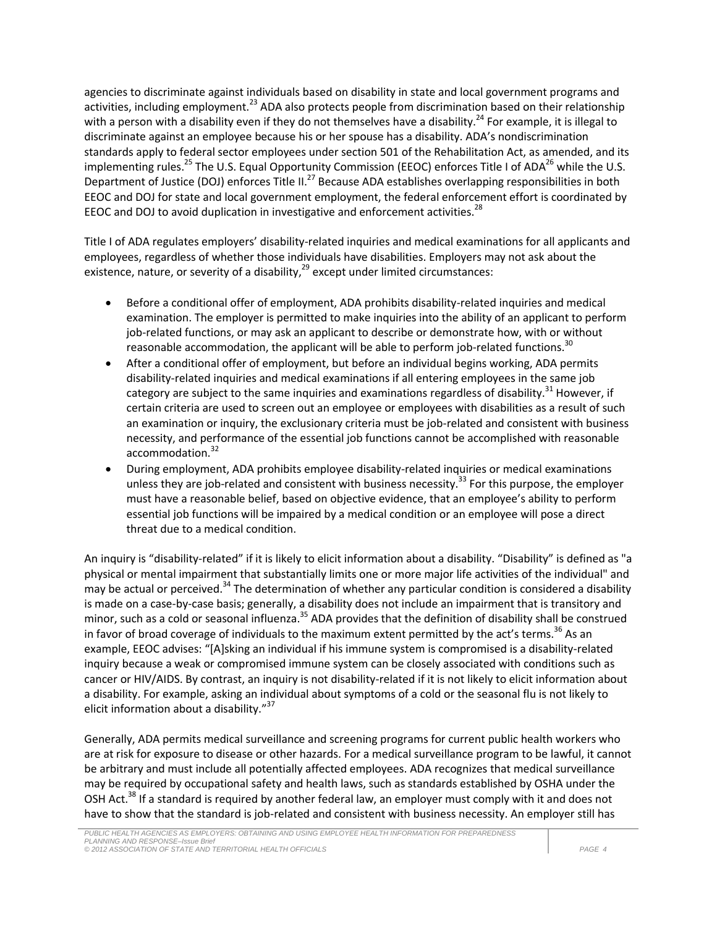agencies to discriminate against individuals based on disability in state and local government programs and activities, including employment.<sup>23</sup> ADA also protects people from discrimination based on their relationship with a person with a disability even if they do not themselves have a disability.<sup>24</sup> For example, it is illegal to discriminate against an employee because his or her spouse has a disability. ADA's nondiscrimination standards apply to federal sector employees under section 501 of the Rehabilitation Act, as amended, and its implementing rules.<sup>25</sup> The U.S. Equal Opportunity Commission (EEOC) enforces Title I of ADA<sup>26</sup> while the U.S. Department of Justice (DOJ) enforces Title II.<sup>27</sup> Because ADA establishes overlapping responsibilities in both EEOC and DOJ for state and local government employment, the federal enforcement effort is coordinated by EEOC and DOJ to avoid duplication in investigative and enforcement activities.<sup>28</sup>

Title I of ADA regulates employers' disability-related inquiries and medical examinations for all applicants and employees, regardless of whether those individuals have disabilities. Employers may not ask about the existence, nature, or severity of a disability,<sup>29</sup> except under limited circumstances:

- Before a conditional offer of employment, ADA prohibits disability-related inquiries and medical examination. The employer is permitted to make inquiries into the ability of an applicant to perform job-related functions, or may ask an applicant to describe or demonstrate how, with or without reasonable accommodation, the applicant will be able to perform job-related functions.<sup>30</sup>
- After a conditional offer of employment, but before an individual begins working, ADA permits disability-related inquiries and medical examinations if all entering employees in the same job category are subject to the same inquiries and examinations regardless of disability.<sup>31</sup> However, if certain criteria are used to screen out an employee or employees with disabilities as a result of such an examination or inquiry, the exclusionary criteria must be job-related and consistent with business necessity, and performance of the essential job functions cannot be accomplished with reasonable accommodation. 32
- During employment, ADA prohibits employee disability-related inquiries or medical examinations unless they are job-related and consistent with business necessity.<sup>33</sup> For this purpose, the employer must have a reasonable belief, based on objective evidence, that an employee's ability to perform essential job functions will be impaired by a medical condition or an employee will pose a direct threat due to a medical condition.

An inquiry is "disability-related" if it is likely to elicit information about a disability. "Disability" is defined as "a physical or mental impairment that substantially limits one or more major life activities of the individual" and may be actual or perceived.<sup>34</sup> The determination of whether any particular condition is considered a disability is made on a case-by-case basis; generally, a disability does not include an impairment that is transitory and minor, such as a cold or seasonal influenza.<sup>35</sup> ADA provides that the definition of disability shall be construed in favor of broad coverage of individuals to the maximum extent permitted by the act's terms.<sup>36</sup> As an example, EEOC advises: "[A]sking an individual if his immune system is compromised is a disability-related inquiry because a weak or compromised immune system can be closely associated with conditions such as cancer or HIV/AIDS. By contrast, an inquiry is not disability-related if it is not likely to elicit information about a disability. For example, asking an individual about symptoms of a cold or the seasonal flu is not likely to elicit information about a disability."<sup>37</sup>

Generally, ADA permits medical surveillance and screening programs for current public health workers who are at risk for exposure to disease or other hazards. For a medical surveillance program to be lawful, it cannot be arbitrary and must include all potentially affected employees. ADA recognizes that medical surveillance may be required by occupational safety and health laws, such as standards established by OSHA under the OSH Act.<sup>38</sup> If a standard is required by another federal law, an employer must comply with it and does not have to show that the standard is job-related and consistent with business necessity. An employer still has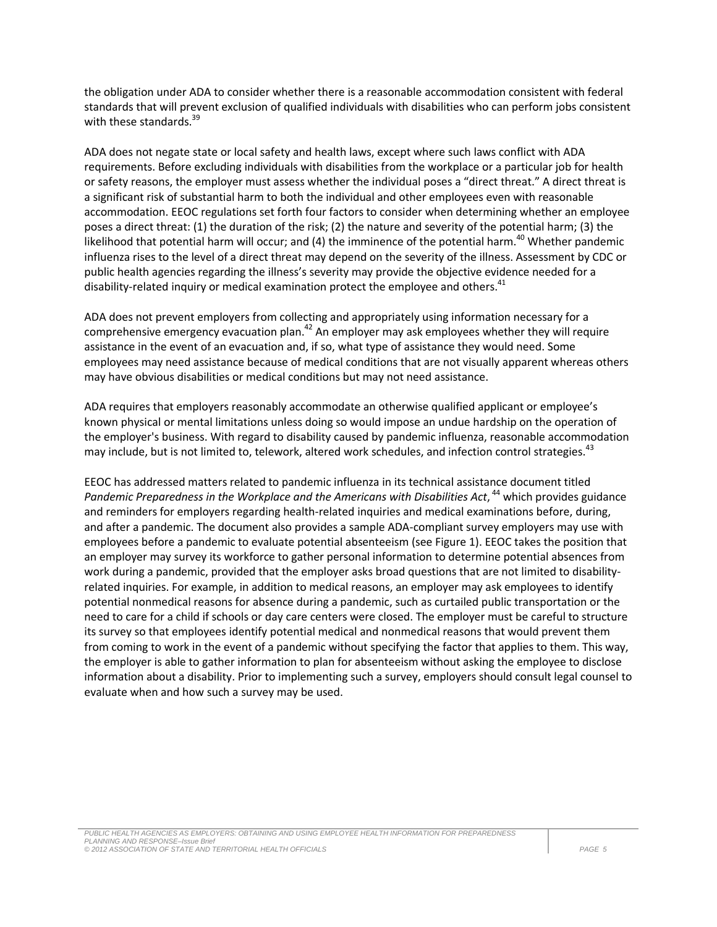the obligation under ADA to consider whether there is a reasonable accommodation consistent with federal standards that will prevent exclusion of qualified individuals with disabilities who can perform jobs consistent with these standards.<sup>39</sup>

ADA does not negate state or local safety and health laws, except where such laws conflict with ADA requirements. Before excluding individuals with disabilities from the workplace or a particular job for health or safety reasons, the employer must assess whether the individual poses a "direct threat." A direct threat is a significant risk of substantial harm to both the individual and other employees even with reasonable accommodation. EEOC regulations set forth four factors to consider when determining whether an employee poses a direct threat: (1) the duration of the risk; (2) the nature and severity of the potential harm; (3) the likelihood that potential harm will occur; and (4) the imminence of the potential harm.<sup>40</sup> Whether pandemic influenza rises to the level of a direct threat may depend on the severity of the illness. Assessment by CDC or public health agencies regarding the illness's severity may provide the objective evidence needed for a disability-related inquiry or medical examination protect the employee and others.<sup>41</sup>

ADA does not prevent employers from collecting and appropriately using information necessary for a comprehensive emergency evacuation plan. $42$  An employer may ask employees whether they will require assistance in the event of an evacuation and, if so, what type of assistance they would need. Some employees may need assistance because of medical conditions that are not visually apparent whereas others may have obvious disabilities or medical conditions but may not need assistance.

ADA requires that employers reasonably accommodate an otherwise qualified applicant or employee's known physical or mental limitations unless doing so would impose an undue hardship on the operation of the employer's business. With regard to disability caused by pandemic influenza, reasonable accommodation may include, but is not limited to, telework, altered work schedules, and infection control strategies.<sup>43</sup>

EEOC has addressed matters related to pandemic influenza in its technical assistance document titled Pandemic Preparedness in the Workplace and the Americans with Disabilities Act, <sup>44</sup> which provides guidance and reminders for employers regarding health-related inquiries and medical examinations before, during, and after a pandemic. The document also provides a sample ADA-compliant survey employers may use with employees before a pandemic to evaluate potential absenteeism (see Figure 1). EEOC takes the position that an employer may survey its workforce to gather personal information to determine potential absences from work during a pandemic, provided that the employer asks broad questions that are not limited to disabilityrelated inquiries. For example, in addition to medical reasons, an employer may ask employees to identify potential nonmedical reasons for absence during a pandemic, such as curtailed public transportation or the need to care for a child if schools or day care centers were closed. The employer must be careful to structure its survey so that employees identify potential medical and nonmedical reasons that would prevent them from coming to work in the event of a pandemic without specifying the factor that applies to them. This way, the employer is able to gather information to plan for absenteeism without asking the employee to disclose information about a disability. Prior to implementing such a survey, employers should consult legal counsel to evaluate when and how such a survey may be used.

*PUBLIC HEALTH AGENCIES AS EMPLOYERS: OBTAINING AND USING EMPLOYEE HEALTH INFORMATION FOR PREPAREDNESS PLANNING AND RESPONSE–Issue Brief © 2012 ASSOCIATION OF STATE AND TERRITORIAL HEALTH OFFICIALS PAGE 5*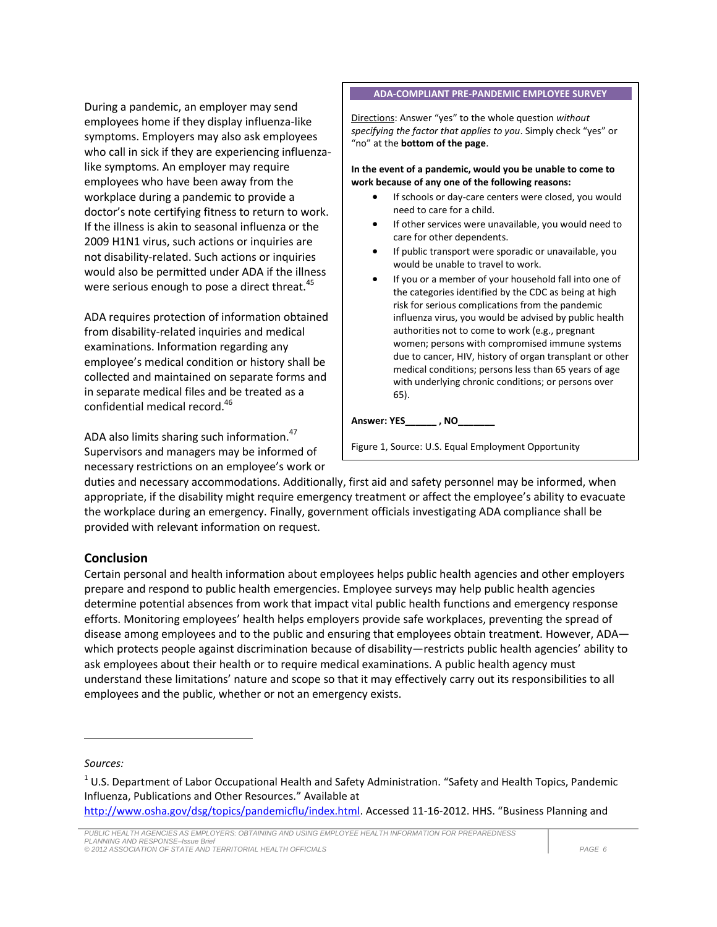During a pandemic, an employer may send employees home if they display influenza-like symptoms. Employers may also ask employees who call in sick if they are experiencing influenzalike symptoms. An employer may require employees who have been away from the workplace during a pandemic to provide a doctor's note certifying fitness to return to work. If the illness is akin to seasonal influenza or the 2009 H1N1 virus, such actions or inquiries are not disability-related. Such actions or inquiries would also be permitted under ADA if the illness were serious enough to pose a direct threat.<sup>45</sup>

ADA requires protection of information obtained from disability-related inquiries and medical examinations. Information regarding any employee's medical condition or history shall be collected and maintained on separate forms and in separate medical files and be treated as a confidential medical record.<sup>46</sup>

ADA also limits sharing such information.<sup>47</sup> Supervisors and managers may be informed of necessary restrictions on an employee's work or

#### **ADA-COMPLIANT PRE-PANDEMIC EMPLOYEE SURVEY**

Directions: Answer "yes" to the whole question *without specifying the factor that applies to you*. Simply check "yes" or "no" at the **bottom of the page**.

**In the event of a pandemic, would you be unable to come to work because of any one of the following reasons:**

- If schools or day-care centers were closed, you would need to care for a child.
- If other services were unavailable, you would need to care for other dependents.
- If public transport were sporadic or unavailable, you would be unable to travel to work.
- If you or a member of your household fall into one of the categories identified by the CDC as being at high risk for serious complications from the pandemic influenza virus, you would be advised by public health authorities not to come to work (e.g., pregnant women; persons with compromised immune systems due to cancer, HIV, history of organ transplant or other medical conditions; persons less than 65 years of age with underlying chronic conditions; or persons over 65).

#### **Answer: YES\_\_\_\_\_\_ , NO\_\_\_\_\_\_\_**

duties and necessary accommodations. Additionally, first aid and safety personnel may be informed, when appropriate, if the disability might require emergency treatment or affect the employee's ability to evacuate the workplace during an emergency. Finally, government officials investigating ADA compliance shall be provided with relevant information on request.

Commission

#### **Conclusion**

Certain personal and health information about employees helps public health agencies and other employers prepare and respond to public health emergencies. Employee surveys may help public health agencies determine potential absences from work that impact vital public health functions and emergency response efforts. Monitoring employees' health helps employers provide safe workplaces, preventing the spread of disease among employees and to the public and ensuring that employees obtain treatment. However, ADA which protects people against discrimination because of disability—restricts public health agencies' ability to ask employees about their health or to require medical examinations. A public health agency must understand these limitations' nature and scope so that it may effectively carry out its responsibilities to all employees and the public, whether or not an emergency exists.

*Sources:*

l

http://www.osha.gov/dsg/topics/pandemicflu/index.html</u>. Accessed 11-16-2012. HHS. "Business Planning and

*PUBLIC HEALTH AGENCIES AS EMPLOYERS: OBTAINING AND USING EMPLOYEE HEALTH INFORMATION FOR PREPAREDNESS PLANNING AND RESPONSE–Issue Brief © 2012 ASSOCIATION OF STATE AND TERRITORIAL HEALTH OFFICIALS PAGE 6*

Figure 1, Source: U.S. Equal Employment Opportunity

 $^{1}$  U.S. Department of Labor Occupational Health and Safety Administration. "Safety and Health Topics, Pandemic Influenza, Publications and Other Resources." Available at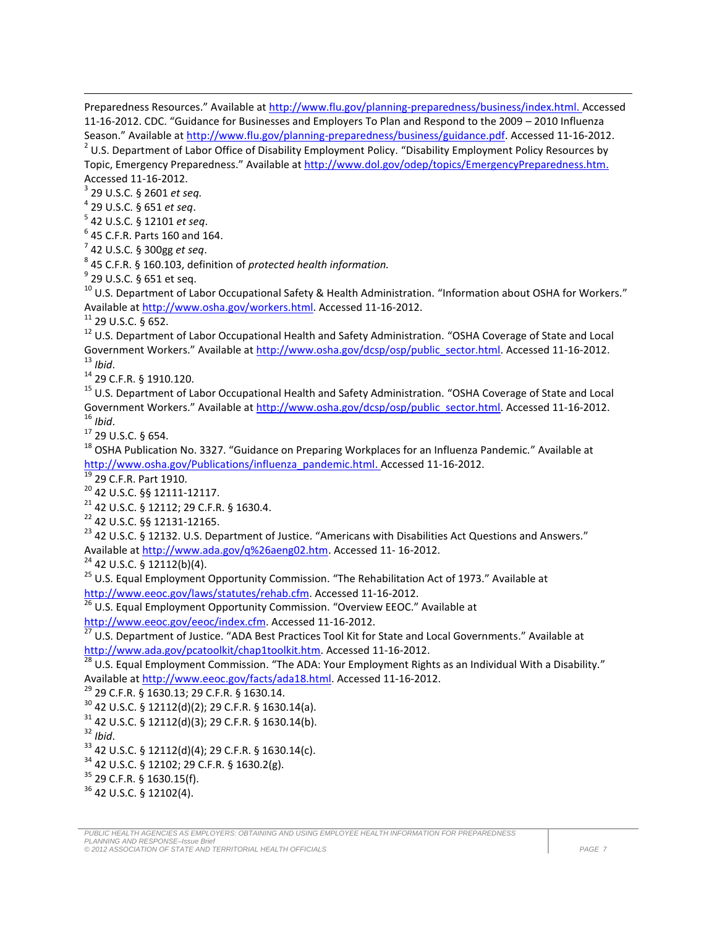Preparedness Resources." Available at [http://www.flu.gov/planning-preparedness/business/index.html.](http://www.flu.gov/planning-preparedness/business/index.html) Accessed 11-16-2012. CDC. "Guidance for Businesses and Employers To Plan and Respond to the 2009 – 2010 Influenza Season." Available a[t http://www.flu.gov/planning-preparedness/business/guidance.pdf.](http://www.flu.gov/planning-preparedness/business/guidance.pdf) Accessed 11-16-2012.  $^{2}$  U.S. Department of Labor Office of Disability Employment Policy. "Disability Employment Policy Resources by Topic, Emergency Preparedness." Available at [http://www.dol.gov/odep/topics/EmergencyPreparedness.htm.](http://www.dol.gov/odep/topics/EmergencyPreparedness.htm) Accessed 11-16-2012.

3 29 U.S.C. § 2601 *et seq.*

 $\overline{\phantom{a}}$ 

4 29 U.S.C. § 651 *et seq*.

5 42 U.S.C. § 12101 *et seq*.

 $6$  45 C.F.R. Parts 160 and 164.

7 42 U.S.C. § 300gg *et seq*.

8 45 C.F.R. § 160.103, definition of *protected health information.*

 $^9$  29 U.S.C. § 651 et seq.

 $10$  U.S. Department of Labor Occupational Safety & Health Administration. "Information about OSHA for Workers." Available a[t http://www.osha.gov/workers.html.](http://www.osha.gov/workers.html) Accessed 11-16-2012.

<sup>11</sup> 29 U.S.C. § 652.

<sup>12</sup> U.S. Department of Labor Occupational Health and Safety Administration. "OSHA Coverage of State and Local Government Workers." Available at [http://www.osha.gov/dcsp/osp/public\\_sector.html.](http://www.osha.gov/dcsp/osp/public_sector.html) Accessed 11-16-2012. <sup>13</sup> *Ibid*.

<sup>14</sup> 29 C.F.R. § 1910.120.

<sup>15</sup> U.S. Department of Labor Occupational Health and Safety Administration. "OSHA Coverage of State and Local Government Workers." Available at [http://www.osha.gov/dcsp/osp/public\\_sector.html.](http://www.osha.gov/dcsp/osp/public_sector.html) Accessed 11-16-2012. <sup>16</sup> *Ibid*.

<sup>17</sup> 29 U.S.C. § 654.

<sup>18</sup> OSHA Publication No. 3327. "Guidance on Preparing Workplaces for an Influenza Pandemic." Available at [http://www.osha.gov/Publications/influenza\\_pandemic.html.](http://www.osha.gov/Publications/influenza_pandemic.html) Accessed 11-16-2012.

<sup>19</sup> 29 C.F.R. Part 1910.

<sup>20</sup> 42 U.S.C. §§ 12111-12117.

<sup>21</sup> 42 U.S.C. § 12112; 29 C.F.R. § 1630.4.

<sup>22</sup> 42 U.S.C. §§ 12131-12165.

<sup>23</sup> 42 U.S.C. § 12132. U.S. Department of Justice. "Americans with Disabilities Act Questions and Answers." Available a[t http://www.ada.gov/q%26aeng02.htm.](http://www.ada.gov/q%26aeng02.htm) Accessed 11- 16-2012.

 $24$  42 U.S.C. § 12112(b)(4).

<sup>25</sup> U.S. Equal Employment Opportunity Commission. "The Rehabilitation Act of 1973." Available at

[http://www.eeoc.gov/laws/statutes/rehab.cfm.](http://www.eeoc.gov/laws/statutes/rehab.cfm) Accessed 11-16-2012.

 $26$  U.S. Equal Employment Opportunity Commission. "Overview EEOC." Available at

[http://www.eeoc.gov/eeoc/index.cfm.](http://www.eeoc.gov/eeoc/index.cfm) Accessed 11-16-2012.

<sup>27</sup> U.S. Department of Justice. "ADA Best Practices Tool Kit for State and Local Governments." Available at [http://www.ada.gov/pcatoolkit/chap1toolkit.htm.](http://www.ada.gov/pcatoolkit/chap1toolkit.htm) Accessed 11-16-2012.

 $\frac{28}{28}$  U.S. Equal Employment Commission. "The ADA: Your Employment Rights as an Individual With a Disability." Available a[t http://www.eeoc.gov/facts/ada18.html.](http://www.eeoc.gov/facts/ada18.html) Accessed 11-16-2012.

<sup>29</sup> 29 C.F.R. § 1630.13; 29 C.F.R. § 1630.14.

<sup>30</sup> 42 U.S.C. § 12112(d)(2); 29 C.F.R. § 1630.14(a).

 $31$  42 U.S.C. § 12112(d)(3); 29 C.F.R. § 1630.14(b).

<sup>32</sup> *Ibid*.

<sup>33</sup> 42 U.S.C. § 12112(d)(4); 29 C.F.R. § 1630.14(c).

 $34$  42 U.S.C. § 12102; 29 C.F.R. § 1630.2(g).

<sup>35</sup> 29 C.F.R. § 1630.15(f).

<sup>36</sup> 42 U.S.C. § 12102(4).

*© 2012 ASSOCIATION OF STATE AND TERRITORIAL HEALTH OFFICIALS PAGE 7*

*PUBLIC HEALTH AGENCIES AS EMPLOYERS: OBTAINING AND USING EMPLOYEE HEALTH INFORMATION FOR PREPAREDNESS PLANNING AND RESPONSE–Issue Brief*